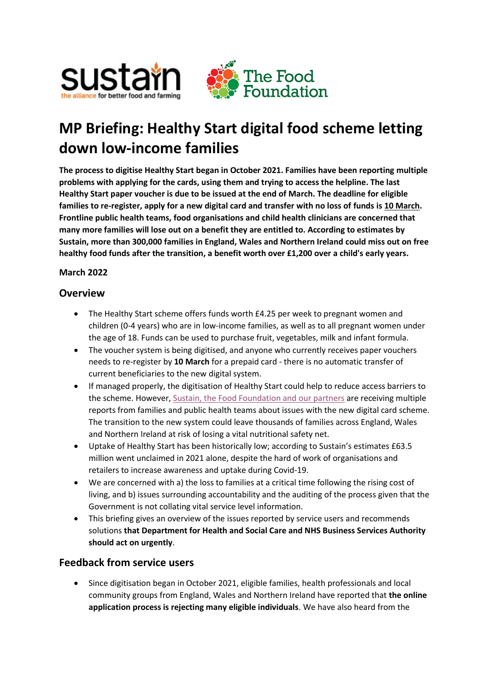

# **MP Briefing: Healthy Start digital food scheme letting down low-income families**

**The process to digitise Healthy Start began in October 2021. Families have been reporting multiple problems with applying for the cards, using them and trying to access the helpline. The last Healthy Start paper voucher is due to be issued at the end of March. The deadline for eligible families to re-register, apply for a new digital card and transfer with no loss of funds is 10 March. Frontline public health teams, food organisations and child health clinicians are concerned that many more families will lose out on a benefit they are entitled to. According to estimates by Sustain, more than 300,000 families in England, Wales and Northern Ireland could miss out on free healthy food funds after the transition, a benefit worth over £1,200 over a child's early years.**

### **March 2022**

## **Overview**

- The Healthy Start scheme offers funds worth £4.25 per week to pregnant women and children (0-4 years) who are in low-income families, as well as to all pregnant women under the age of 18. Funds can be used to purchase fruit, vegetables, milk and infant formula.
- The voucher system is being digitised, and anyone who currently receives paper vouchers needs to re-register by **10 March** for a prepaid card - there is no automatic transfer of current beneficiaries to the new digital system.
- If managed properly, the digitisation of Healthy Start could help to reduce access barriers to the scheme. However[, Sustain, the Food Foundation and our partners](https://www.sustainweb.org/news/mar22-healthy-start-digital-cards-failing/) are receiving multiple reports from families and public health teams about issues with the new digital card scheme. The transition to the new system could leave thousands of families across England, Wales and Northern Ireland at risk of losing a vital nutritional safety net.
- Uptake of Healthy Start has been historically low; according to Sustain's estimates £63.5 million went unclaimed in 2021 alone, despite the hard of work of organisations and retailers to increase awareness and uptake during Covid-19.
- We are concerned with a) the loss to families at a critical time following the rising cost of living, and b) issues surrounding accountability and the auditing of the process given that the Government is not collating vital service level information.
- This briefing gives an overview of the issues reported by service users and recommends solutions **that Department for Health and Social Care and NHS Business Services Authority should act on urgently**.

## **Feedback from service users**

• Since digitisation began in October 2021, eligible families, health professionals and local community groups from England, Wales and Northern Ireland have reported that **the online application process is rejecting many eligible individuals**. We have also heard from the